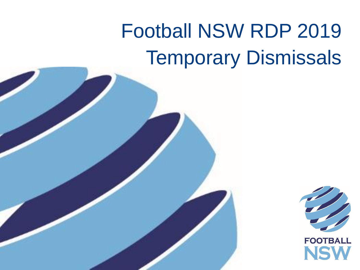# Football NSW RDP 2019 Temporary Dismissals

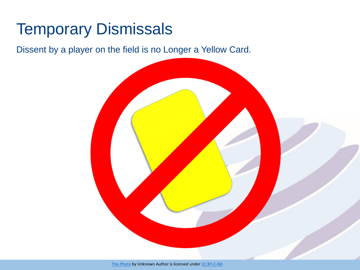### Temporary Dismissals

Dissent by a player on the field is no Longer a Yellow Card.

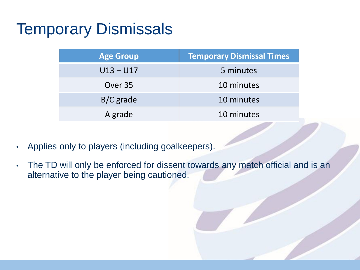### Temporary Dismissals

| <b>Age Group</b> | <b>Temporary Dismissal Times</b> |  |
|------------------|----------------------------------|--|
| $U13 - U17$      | 5 minutes                        |  |
| Over 35          | 10 minutes                       |  |
| $B/C$ grade      | 10 minutes                       |  |
| A grade          | 10 minutes                       |  |

- Applies only to players (including goalkeepers).
- The TD will only be enforced for dissent towards any match official and is an alternative to the player being cautioned.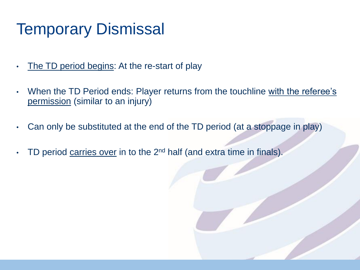#### Temporary Dismissal

- The TD period begins: At the re-start of play
- When the TD Period ends: Player returns from the touchline with the referee's permission (similar to an injury)
- Can only be substituted at the end of the TD period (at a stoppage in play)
- TD period carries over in to the  $2^{nd}$  half (and extra time in finals).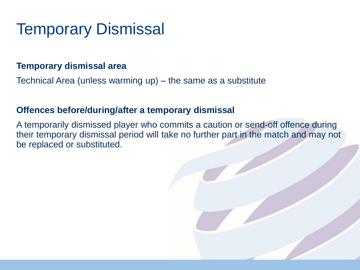#### Temporary Dismissal

#### **Temporary dismissal area**

Technical Area (unless warming up) – the same as a substitute

#### **Offences before/during/after a temporary dismissal**

A temporarily dismissed player who commits a caution or send-off offence during their temporary dismissal period will take no further part in the match and may not be replaced or substituted.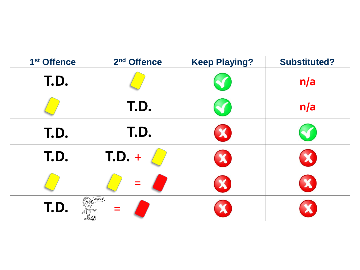| 1 <sup>st</sup> Offence | 2 <sup>nd</sup> Offence | <b>Keep Playing?</b> | <b>Substituted?</b> |
|-------------------------|-------------------------|----------------------|---------------------|
| T.D.                    |                         |                      | n/a                 |
|                         | T.D.                    | V.                   | n/a                 |
| T.D.                    | T.D.                    | X                    |                     |
| T.D.                    | $T.D. +$                | X                    |                     |
|                         |                         | X                    |                     |
| T.D.                    | (1)                     |                      |                     |